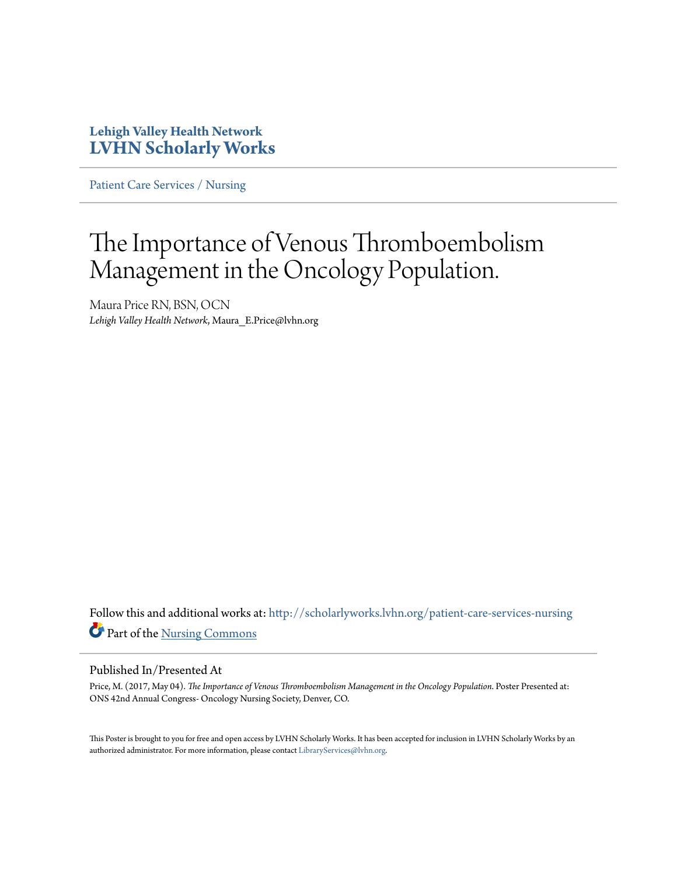### **Lehigh Valley Health Network [LVHN Scholarly Works](http://scholarlyworks.lvhn.org?utm_source=scholarlyworks.lvhn.org%2Fpatient-care-services-nursing%2F817&utm_medium=PDF&utm_campaign=PDFCoverPages)**

[Patient Care Services / Nursing](http://scholarlyworks.lvhn.org/patient-care-services-nursing?utm_source=scholarlyworks.lvhn.org%2Fpatient-care-services-nursing%2F817&utm_medium=PDF&utm_campaign=PDFCoverPages)

### The Importance of Venous Thromboembolism Management in the Oncology Population.

Maura Price RN, BSN, OCN *Lehigh Valley Health Network*, Maura\_E.Price@lvhn.org

Follow this and additional works at: [http://scholarlyworks.lvhn.org/patient-care-services-nursing](http://scholarlyworks.lvhn.org/patient-care-services-nursing?utm_source=scholarlyworks.lvhn.org%2Fpatient-care-services-nursing%2F817&utm_medium=PDF&utm_campaign=PDFCoverPages) Part of the [Nursing Commons](http://network.bepress.com/hgg/discipline/718?utm_source=scholarlyworks.lvhn.org%2Fpatient-care-services-nursing%2F817&utm_medium=PDF&utm_campaign=PDFCoverPages)

### Published In/Presented At

Price, M. (2017, May 04). *The Importance of Venous Thromboembolism Management in the Oncology Population*. Poster Presented at: ONS 42nd Annual Congress- Oncology Nursing Society, Denver, CO.

This Poster is brought to you for free and open access by LVHN Scholarly Works. It has been accepted for inclusion in LVHN Scholarly Works by an authorized administrator. For more information, please contact [LibraryServices@lvhn.org.](mailto:LibraryServices@lvhn.org)